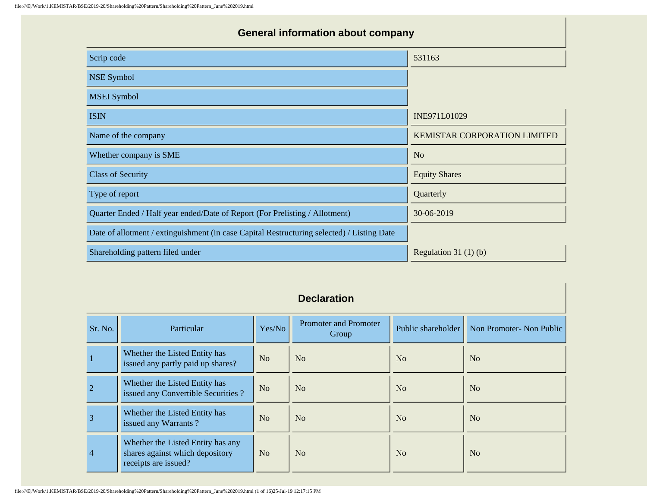## **General information about company**

| Scrip code                                                                                 | 531163                       |
|--------------------------------------------------------------------------------------------|------------------------------|
| <b>NSE Symbol</b>                                                                          |                              |
| <b>MSEI</b> Symbol                                                                         |                              |
| <b>ISIN</b>                                                                                | INE971L01029                 |
| Name of the company                                                                        | KEMISTAR CORPORATION LIMITED |
| Whether company is SME                                                                     | N <sub>o</sub>               |
| <b>Class of Security</b>                                                                   | <b>Equity Shares</b>         |
| Type of report                                                                             | Quarterly                    |
| Quarter Ended / Half year ended/Date of Report (For Prelisting / Allotment)                | 30-06-2019                   |
| Date of allotment / extinguishment (in case Capital Restructuring selected) / Listing Date |                              |
| Shareholding pattern filed under                                                           | Regulation $31(1)(b)$        |

| Sr. No.        | Particular                                                                                   | Yes/No         | Promoter and Promoter<br>Group | Public shareholder | Non Promoter- Non Public |
|----------------|----------------------------------------------------------------------------------------------|----------------|--------------------------------|--------------------|--------------------------|
|                | Whether the Listed Entity has<br>issued any partly paid up shares?                           | N <sub>o</sub> | N <sub>0</sub>                 | N <sub>0</sub>     | N <sub>o</sub>           |
| $\overline{2}$ | Whether the Listed Entity has<br>issued any Convertible Securities ?                         | N <sub>o</sub> | N <sub>o</sub>                 | No                 | No                       |
| $\overline{3}$ | Whether the Listed Entity has<br>issued any Warrants?                                        | No             | N <sub>0</sub>                 | No                 | N <sub>o</sub>           |
| $\overline{4}$ | Whether the Listed Entity has any<br>shares against which depository<br>receipts are issued? | N <sub>o</sub> | N <sub>o</sub>                 | No                 | N <sub>o</sub>           |

## **Declaration**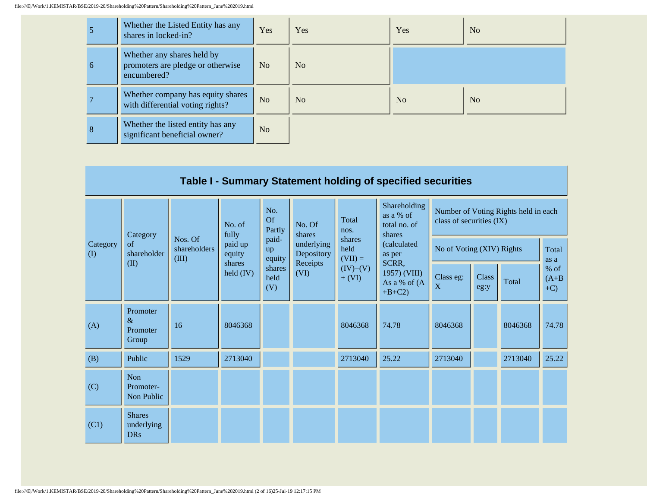|   | Whether the Listed Entity has any<br>shares in locked-in?                      | Yes            | <b>Yes</b>     | Yes            | N <sub>o</sub> |
|---|--------------------------------------------------------------------------------|----------------|----------------|----------------|----------------|
| 6 | Whether any shares held by<br>promoters are pledge or otherwise<br>encumbered? | N <sub>o</sub> | No             |                |                |
|   | Whether company has equity shares<br>with differential voting rights?          | N <sub>o</sub> | N <sub>o</sub> | N <sub>o</sub> | N <sub>o</sub> |
| 8 | Whether the listed entity has any<br>significant beneficial owner?             | N <sub>o</sub> |                |                |                |

|                 | Table I - Summary Statement holding of specified securities |                         |                   |                                                                                        |                                                             |                                             |                                                     |                                                                  |       |                             |               |  |
|-----------------|-------------------------------------------------------------|-------------------------|-------------------|----------------------------------------------------------------------------------------|-------------------------------------------------------------|---------------------------------------------|-----------------------------------------------------|------------------------------------------------------------------|-------|-----------------------------|---------------|--|
| Category<br>(1) | Category                                                    |                         | No. of<br>fully   | No.<br><b>Of</b><br>Partly                                                             | No. Of<br>shares<br>paid-<br>underlying<br>up<br>Depository | Total<br>nos.                               | Shareholding<br>as a % of<br>total no. of<br>shares | Number of Voting Rights held in each<br>class of securities (IX) |       |                             |               |  |
|                 | <sub>of</sub><br>shareholder<br>(III)                       | Nos. Of<br>shareholders | paid up<br>equity | equity                                                                                 |                                                             | shares<br>held<br>$(VII) =$                 | (calculated<br>as per                               | No of Voting (XIV) Rights                                        |       |                             | Total<br>as a |  |
|                 | (II)                                                        |                         | held $(IV)$       | Receipts<br>SCRR,<br>shares<br>shares<br>$(IV)+(V)$<br>(VI)<br>held<br>$+ (VI)$<br>(V) |                                                             | 1957) (VIII)<br>As a % of $(A$<br>$+B+C2$ ) | Class eg:<br>X                                      | <b>Class</b><br>eg:y                                             | Total | $%$ of<br>$(A+B)$<br>$+C$ ) |               |  |
| (A)             | Promoter<br>$\&$<br>Promoter<br>Group                       | 16                      | 8046368           |                                                                                        |                                                             | 8046368                                     | 74.78                                               | 8046368                                                          |       | 8046368                     | 74.78         |  |
| (B)             | Public                                                      | 1529                    | 2713040           |                                                                                        |                                                             | 2713040                                     | 25.22                                               | 2713040                                                          |       | 2713040                     | 25.22         |  |
| (C)             | Non<br>Promoter-<br>Non Public                              |                         |                   |                                                                                        |                                                             |                                             |                                                     |                                                                  |       |                             |               |  |
| (C1)            | <b>Shares</b><br>underlying<br><b>DRs</b>                   |                         |                   |                                                                                        |                                                             |                                             |                                                     |                                                                  |       |                             |               |  |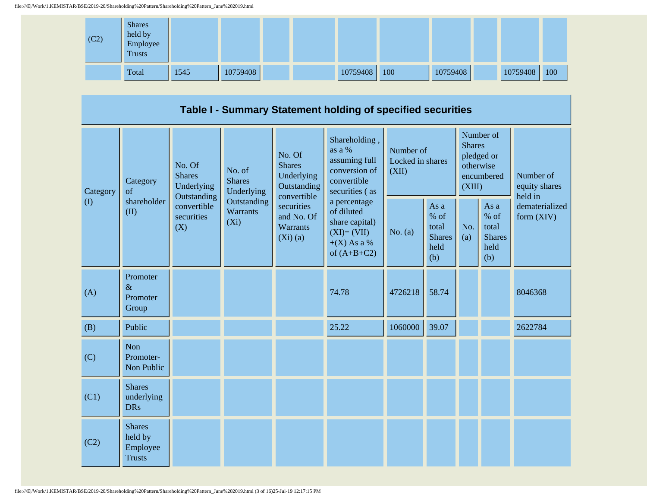

|                                                      | Table I - Summary Statement holding of specified securities                                                         |                                                                                    |                                                                                                                           |                                                                                                                                                                                              |                                        |                                                         |                                                                               |                                                         |                                       |         |  |  |  |
|------------------------------------------------------|---------------------------------------------------------------------------------------------------------------------|------------------------------------------------------------------------------------|---------------------------------------------------------------------------------------------------------------------------|----------------------------------------------------------------------------------------------------------------------------------------------------------------------------------------------|----------------------------------------|---------------------------------------------------------|-------------------------------------------------------------------------------|---------------------------------------------------------|---------------------------------------|---------|--|--|--|
| Category<br>of<br>$\left( \mathrm{I}\right)$<br>(II) | No. Of<br><b>Shares</b><br>Category<br>Underlying<br>Outstanding<br>shareholder<br>convertible<br>securities<br>(X) | No. of<br><b>Shares</b><br>Underlying<br>Outstanding<br><b>Warrants</b><br>$(X_i)$ | No. Of<br><b>Shares</b><br>Underlying<br>Outstanding<br>convertible<br>securities<br>and No. Of<br>Warrants<br>$(Xi)$ (a) | Shareholding,<br>as a %<br>assuming full<br>conversion of<br>convertible<br>securities (as<br>a percentage<br>of diluted<br>share capital)<br>$(XI)=(VII)$<br>$+(X)$ As a %<br>of $(A+B+C2)$ | Number of<br>Locked in shares<br>(XII) |                                                         | Number of<br><b>Shares</b><br>pledged or<br>otherwise<br>encumbered<br>(XIII) |                                                         | Number of<br>equity shares<br>held in |         |  |  |  |
|                                                      |                                                                                                                     |                                                                                    |                                                                                                                           |                                                                                                                                                                                              | No. (a)                                | As a<br>$%$ of<br>total<br><b>Shares</b><br>held<br>(b) | No.<br>(a)                                                                    | As a<br>$%$ of<br>total<br><b>Shares</b><br>held<br>(b) | dematerialized<br>form (XIV)          |         |  |  |  |
| (A)                                                  | Promoter<br>$\&$<br>Promoter<br>Group                                                                               |                                                                                    |                                                                                                                           |                                                                                                                                                                                              | 74.78                                  | 4726218                                                 | 58.74                                                                         |                                                         |                                       | 8046368 |  |  |  |
| (B)                                                  | Public                                                                                                              |                                                                                    |                                                                                                                           |                                                                                                                                                                                              | 25.22                                  | 1060000                                                 | 39.07                                                                         |                                                         |                                       | 2622784 |  |  |  |
| (C)                                                  | Non<br>Promoter-<br>Non Public                                                                                      |                                                                                    |                                                                                                                           |                                                                                                                                                                                              |                                        |                                                         |                                                                               |                                                         |                                       |         |  |  |  |
| (C1)                                                 | <b>Shares</b><br>underlying<br><b>DRs</b>                                                                           |                                                                                    |                                                                                                                           |                                                                                                                                                                                              |                                        |                                                         |                                                                               |                                                         |                                       |         |  |  |  |
| (C2)                                                 | <b>Shares</b><br>held by<br>Employee<br><b>Trusts</b>                                                               |                                                                                    |                                                                                                                           |                                                                                                                                                                                              |                                        |                                                         |                                                                               |                                                         |                                       |         |  |  |  |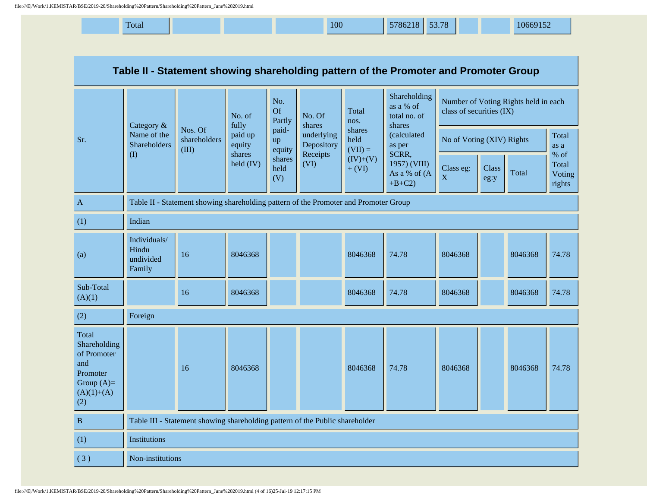| Total | 100 | 53.78<br>5786218 | 10669152 |
|-------|-----|------------------|----------|
|-------|-----|------------------|----------|

| Table II - Statement showing shareholding pattern of the Promoter and Promoter Group           |                                              |                                                                                      |                     |                            |                          |                             |                                                     |                                                                  |                           |         |                                     |
|------------------------------------------------------------------------------------------------|----------------------------------------------|--------------------------------------------------------------------------------------|---------------------|----------------------------|--------------------------|-----------------------------|-----------------------------------------------------|------------------------------------------------------------------|---------------------------|---------|-------------------------------------|
|                                                                                                | Category &                                   |                                                                                      | No. of<br>fully     | No.<br><b>Of</b><br>Partly | No. Of<br>shares         | Total<br>nos.               | Shareholding<br>as a % of<br>total no. of<br>shares | Number of Voting Rights held in each<br>class of securities (IX) |                           |         |                                     |
| Sr.                                                                                            | Name of the<br><b>Shareholders</b>           | Nos. Of<br>shareholders<br>(III)                                                     | paid up<br>equity   | paid-<br>up<br>equity      | underlying<br>Depository | shares<br>held<br>$(VII) =$ | (calculated<br>as per                               |                                                                  | No of Voting (XIV) Rights |         | Total<br>as a                       |
|                                                                                                | $($ $\Gamma$                                 |                                                                                      | shares<br>held (IV) | shares<br>held<br>(V)      | Receipts<br>(VI)         | $(IV)+(V)$<br>$+ (VI)$      | SCRR,<br>1957) (VIII)<br>As a % of (A<br>$+B+C2$    | Class eg:<br>$\mathbf X$                                         | Class<br>eg:y             | Total   | $%$ of<br>Total<br>Voting<br>rights |
| $\mathbf{A}$                                                                                   |                                              | Table II - Statement showing shareholding pattern of the Promoter and Promoter Group |                     |                            |                          |                             |                                                     |                                                                  |                           |         |                                     |
| (1)                                                                                            | Indian                                       |                                                                                      |                     |                            |                          |                             |                                                     |                                                                  |                           |         |                                     |
| (a)                                                                                            | Individuals/<br>Hindu<br>undivided<br>Family | 16                                                                                   | 8046368             |                            |                          | 8046368                     | 74.78                                               | 8046368                                                          |                           | 8046368 | 74.78                               |
| Sub-Total<br>(A)(1)                                                                            |                                              | 16                                                                                   | 8046368             |                            |                          | 8046368                     | 74.78                                               | 8046368                                                          |                           | 8046368 | 74.78                               |
| (2)                                                                                            | Foreign                                      |                                                                                      |                     |                            |                          |                             |                                                     |                                                                  |                           |         |                                     |
| Total<br>Shareholding<br>of Promoter<br>and<br>Promoter<br>Group $(A)=$<br>$(A)(1)+(A)$<br>(2) |                                              | 16                                                                                   | 8046368             |                            |                          | 8046368                     | 74.78                                               | 8046368                                                          |                           | 8046368 | 74.78                               |
| $\, {\bf B}$                                                                                   |                                              | Table III - Statement showing shareholding pattern of the Public shareholder         |                     |                            |                          |                             |                                                     |                                                                  |                           |         |                                     |
| (1)                                                                                            | Institutions                                 |                                                                                      |                     |                            |                          |                             |                                                     |                                                                  |                           |         |                                     |
| (3)                                                                                            | Non-institutions                             |                                                                                      |                     |                            |                          |                             |                                                     |                                                                  |                           |         |                                     |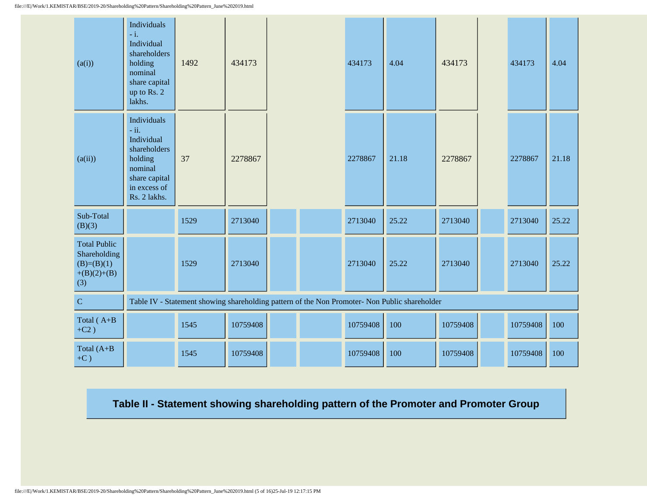| (a(i))                                                                      | Individuals<br>$-i$ .<br>Individual<br>shareholders<br>holding<br>nominal<br>share capital<br>up to Rs. 2<br>lakhs.        | 1492 | 434173   |  | 434173   | 4.04                                                                                          | 434173   | 434173   | 4.04  |
|-----------------------------------------------------------------------------|----------------------------------------------------------------------------------------------------------------------------|------|----------|--|----------|-----------------------------------------------------------------------------------------------|----------|----------|-------|
| (a(ii))                                                                     | Individuals<br>$-ii.$<br>Individual<br>shareholders<br>holding<br>nominal<br>share capital<br>in excess of<br>Rs. 2 lakhs. | 37   | 2278867  |  | 2278867  | 21.18                                                                                         | 2278867  | 2278867  | 21.18 |
| Sub-Total<br>(B)(3)                                                         |                                                                                                                            | 1529 | 2713040  |  | 2713040  | 25.22                                                                                         | 2713040  | 2713040  | 25.22 |
| <b>Total Public</b><br>Shareholding<br>$(B)=(B)(1)$<br>$+(B)(2)+(B)$<br>(3) |                                                                                                                            | 1529 | 2713040  |  | 2713040  | 25.22                                                                                         | 2713040  | 2713040  | 25.22 |
| ${\bf C}$                                                                   |                                                                                                                            |      |          |  |          | Table IV - Statement showing shareholding pattern of the Non Promoter- Non Public shareholder |          |          |       |
| Total (A+B<br>$+C2)$                                                        |                                                                                                                            | 1545 | 10759408 |  | 10759408 | 100                                                                                           | 10759408 | 10759408 | 100   |
| Total (A+B<br>$+C$ )                                                        |                                                                                                                            | 1545 | 10759408 |  | 10759408 | 100                                                                                           | 10759408 | 10759408 | 100   |

**Table II - Statement showing shareholding pattern of the Promoter and Promoter Group**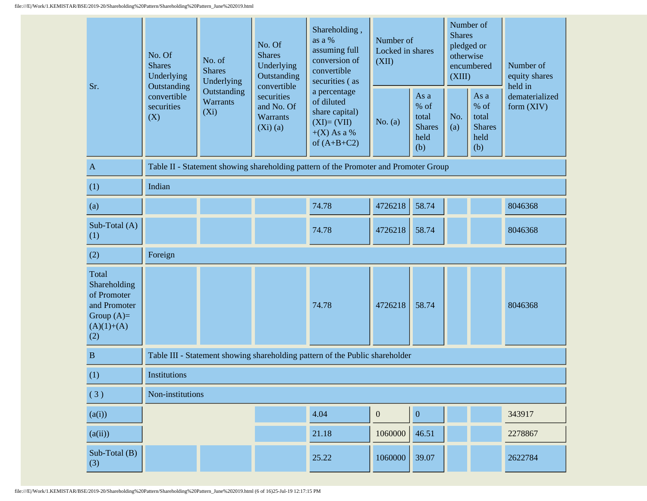| Sr.                                                                                         | No. Of<br><b>Shares</b><br>Underlying<br>Outstanding<br>convertible<br>securities<br>(X) | No. of<br><b>Shares</b><br>Underlying<br>Outstanding<br>Warrants<br>$(X_i)$ | No. Of<br><b>Shares</b><br>Underlying<br>Outstanding<br>convertible<br>securities<br>and No. Of<br>Warrants<br>$(Xi)$ (a) | Shareholding,<br>as a %<br>assuming full<br>conversion of<br>convertible<br>securities (as<br>a percentage<br>of diluted<br>share capital)<br>$(XI)=(VII)$<br>$+(X)$ As a %<br>of $(A+B+C2)$ | Number of<br>Locked in shares<br>(XII)<br>No. (a) | As a<br>$%$ of<br>total<br><b>Shares</b><br>held<br>(b) | <b>Shares</b><br>pledged or<br>otherwise<br>(XIII)<br>No.<br>(a) | Number of<br>encumbered<br>As a<br>% of<br>total<br><b>Shares</b><br>held<br>(b) | Number of<br>equity shares<br>held in<br>dematerialized<br>form (XIV) |
|---------------------------------------------------------------------------------------------|------------------------------------------------------------------------------------------|-----------------------------------------------------------------------------|---------------------------------------------------------------------------------------------------------------------------|----------------------------------------------------------------------------------------------------------------------------------------------------------------------------------------------|---------------------------------------------------|---------------------------------------------------------|------------------------------------------------------------------|----------------------------------------------------------------------------------|-----------------------------------------------------------------------|
| $\mathbf A$                                                                                 |                                                                                          |                                                                             |                                                                                                                           | Table II - Statement showing shareholding pattern of the Promoter and Promoter Group                                                                                                         |                                                   |                                                         |                                                                  |                                                                                  |                                                                       |
| (1)                                                                                         | Indian                                                                                   |                                                                             |                                                                                                                           |                                                                                                                                                                                              |                                                   |                                                         |                                                                  |                                                                                  |                                                                       |
| (a)                                                                                         |                                                                                          |                                                                             |                                                                                                                           | 74.78                                                                                                                                                                                        | 4726218                                           | 58.74                                                   |                                                                  |                                                                                  | 8046368                                                               |
| Sub-Total $(A)$<br>(1)                                                                      |                                                                                          |                                                                             |                                                                                                                           | 74.78                                                                                                                                                                                        | 4726218                                           | 58.74                                                   |                                                                  |                                                                                  | 8046368                                                               |
| (2)                                                                                         | Foreign                                                                                  |                                                                             |                                                                                                                           |                                                                                                                                                                                              |                                                   |                                                         |                                                                  |                                                                                  |                                                                       |
| Total<br>Shareholding<br>of Promoter<br>and Promoter<br>Group $(A)=$<br>$(A)(1)+(A)$<br>(2) |                                                                                          |                                                                             |                                                                                                                           | 74.78                                                                                                                                                                                        | 4726218                                           | 58.74                                                   |                                                                  |                                                                                  | 8046368                                                               |
| $\, {\bf B}$                                                                                |                                                                                          |                                                                             |                                                                                                                           | Table III - Statement showing shareholding pattern of the Public shareholder                                                                                                                 |                                                   |                                                         |                                                                  |                                                                                  |                                                                       |
| (1)                                                                                         | <b>Institutions</b>                                                                      |                                                                             |                                                                                                                           |                                                                                                                                                                                              |                                                   |                                                         |                                                                  |                                                                                  |                                                                       |
| (3)                                                                                         | Non-institutions                                                                         |                                                                             |                                                                                                                           |                                                                                                                                                                                              |                                                   |                                                         |                                                                  |                                                                                  |                                                                       |
| (a(i))                                                                                      |                                                                                          |                                                                             |                                                                                                                           | 4.04                                                                                                                                                                                         | $\boldsymbol{0}$                                  | $\boldsymbol{0}$                                        |                                                                  |                                                                                  | 343917                                                                |
| (a(ii))                                                                                     |                                                                                          |                                                                             |                                                                                                                           | 21.18                                                                                                                                                                                        | 1060000                                           | 46.51                                                   |                                                                  |                                                                                  | 2278867                                                               |
| Sub-Total (B)<br>(3)                                                                        |                                                                                          |                                                                             |                                                                                                                           | 25.22                                                                                                                                                                                        | 1060000                                           | 39.07                                                   |                                                                  |                                                                                  | 2622784                                                               |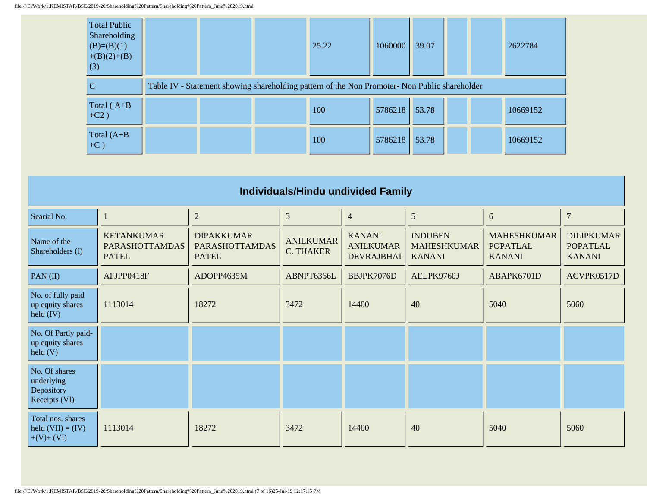| <b>Total Public</b><br>Shareholding<br>$(B)=(B)(1)$<br>$+(B)(2)+(B)$<br>(3) | 25.22                                                                                         | 1060000       | 39.07 | 2622784  |
|-----------------------------------------------------------------------------|-----------------------------------------------------------------------------------------------|---------------|-------|----------|
| C                                                                           | Table IV - Statement showing shareholding pattern of the Non Promoter- Non Public shareholder |               |       |          |
| Total $(A+B)$<br>$+C2)$                                                     | 100                                                                                           | 5786218 53.78 |       | 10669152 |
| Total $(A+B)$<br>$+C$ )                                                     | 100                                                                                           | 5786218 53.78 |       | 10669152 |

| Individuals/Hindu undivided Family                          |                                                            |                                                            |                                      |                                                        |                                                       |                                                        |                                                       |  |  |  |  |
|-------------------------------------------------------------|------------------------------------------------------------|------------------------------------------------------------|--------------------------------------|--------------------------------------------------------|-------------------------------------------------------|--------------------------------------------------------|-------------------------------------------------------|--|--|--|--|
| Searial No.                                                 |                                                            | $\sqrt{2}$                                                 | $\mathfrak{Z}$                       | $\overline{4}$                                         | 5                                                     | 6                                                      | $\overline{7}$                                        |  |  |  |  |
| Name of the<br>Shareholders (I)                             | <b>KETANKUMAR</b><br><b>PARASHOTTAMDAS</b><br><b>PATEL</b> | <b>DIPAKKUMAR</b><br><b>PARASHOTTAMDAS</b><br><b>PATEL</b> | <b>ANILKUMAR</b><br><b>C. THAKER</b> | <b>KANANI</b><br><b>ANILKUMAR</b><br><b>DEVRAJBHAI</b> | <b>INDUBEN</b><br><b>MAHESHKUMAR</b><br><b>KANANI</b> | <b>MAHESHKUMAR</b><br><b>POPATLAL</b><br><b>KANANI</b> | <b>DILIPKUMAR</b><br><b>POPATLAL</b><br><b>KANANI</b> |  |  |  |  |
| PAN $(II)$                                                  | AFJPP0418F                                                 | ADOPP4635M                                                 | ABNPT6366L                           | BBJPK7076D                                             | AELPK9760J                                            | ABAPK6701D                                             | ACVPK0517D                                            |  |  |  |  |
| No. of fully paid<br>up equity shares<br>$\text{held (IV)}$ | 1113014                                                    | 18272                                                      | 3472                                 | 14400                                                  | 40                                                    | 5040                                                   | 5060                                                  |  |  |  |  |
| No. Of Partly paid-<br>up equity shares<br>$\text{held}(V)$ |                                                            |                                                            |                                      |                                                        |                                                       |                                                        |                                                       |  |  |  |  |
| No. Of shares<br>underlying<br>Depository<br>Receipts (VI)  |                                                            |                                                            |                                      |                                                        |                                                       |                                                        |                                                       |  |  |  |  |
| Total nos. shares<br>held $(VII) = (IV)$<br>$+(V)+(VI)$     | 1113014                                                    | 18272                                                      | 3472                                 | 14400                                                  | 40                                                    | 5040                                                   | 5060                                                  |  |  |  |  |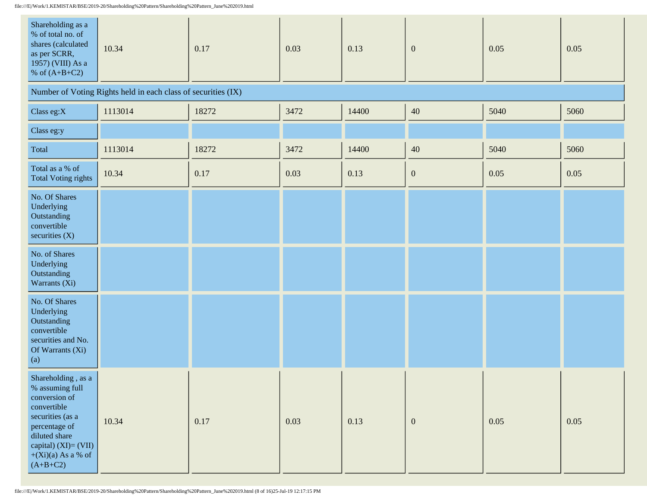file:///E|/Work/1.KEMISTAR/BSE/2019-20/Shareholding%20Pattern/Shareholding%20Pattern\_June%202019.html

| Shareholding as a<br>% of total no. of<br>shares (calculated<br>as per SCRR,<br>1957) (VIII) As a<br>% of $(A+B+C2)$                                                                          | 10.34                                                         | 0.17  | 0.03 | 0.13  | $\mathbf{0}$     | 0.05 | 0.05 |
|-----------------------------------------------------------------------------------------------------------------------------------------------------------------------------------------------|---------------------------------------------------------------|-------|------|-------|------------------|------|------|
|                                                                                                                                                                                               | Number of Voting Rights held in each class of securities (IX) |       |      |       |                  |      |      |
| Class eg:X                                                                                                                                                                                    | 1113014                                                       | 18272 | 3472 | 14400 | $40\,$           | 5040 | 5060 |
| Class eg:y                                                                                                                                                                                    |                                                               |       |      |       |                  |      |      |
| Total                                                                                                                                                                                         | 1113014                                                       | 18272 | 3472 | 14400 | $40\,$           | 5040 | 5060 |
| Total as a % of<br><b>Total Voting rights</b>                                                                                                                                                 | 10.34                                                         | 0.17  | 0.03 | 0.13  | $\boldsymbol{0}$ | 0.05 | 0.05 |
| No. Of Shares<br>Underlying<br>Outstanding<br>convertible<br>securities $(X)$                                                                                                                 |                                                               |       |      |       |                  |      |      |
| No. of Shares<br>Underlying<br>Outstanding<br>Warrants (Xi)                                                                                                                                   |                                                               |       |      |       |                  |      |      |
| No. Of Shares<br>Underlying<br>Outstanding<br>convertible<br>securities and No.<br>Of Warrants (Xi)<br>(a)                                                                                    |                                                               |       |      |       |                  |      |      |
| Shareholding , as a<br>% assuming full<br>conversion of<br>convertible<br>securities (as a<br>percentage of<br>diluted share<br>capital) $(XI) = (VII)$<br>$+(Xi)(a)$ As a % of<br>$(A+B+C2)$ | 10.34                                                         | 0.17  | 0.03 | 0.13  | $\boldsymbol{0}$ | 0.05 | 0.05 |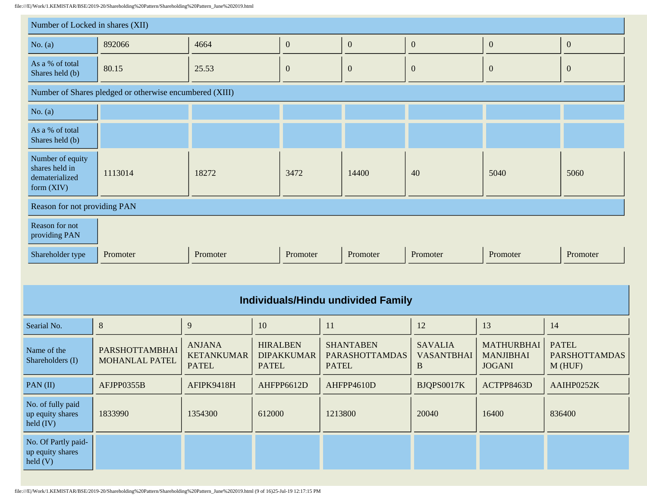file:///E|/Work/1.KEMISTAR/BSE/2019-20/Shareholding%20Pattern/Shareholding%20Pattern\_June%202019.html

| ///E /Work/1.KEMISTAR/BSE/2019-20/Shareholding%20Pattern/Shareholding%20Pattern_June%202019.html |                                                         |                                                    |                                                      |          |                                                           |                                                     |                                                        |                                                   |
|--------------------------------------------------------------------------------------------------|---------------------------------------------------------|----------------------------------------------------|------------------------------------------------------|----------|-----------------------------------------------------------|-----------------------------------------------------|--------------------------------------------------------|---------------------------------------------------|
| Number of Locked in shares (XII)                                                                 |                                                         |                                                    |                                                      |          |                                                           |                                                     |                                                        |                                                   |
| No. $(a)$                                                                                        | 892066                                                  | 4664                                               | $\boldsymbol{0}$                                     |          | $\boldsymbol{0}$                                          | $\boldsymbol{0}$                                    | $\boldsymbol{0}$                                       | $\boldsymbol{0}$                                  |
| As a % of total<br>Shares held (b)                                                               | 80.15                                                   | 25.53                                              | $\boldsymbol{0}$                                     |          | $\boldsymbol{0}$                                          | $\boldsymbol{0}$                                    | $\mathbf{0}$                                           | $\mathbf{0}$                                      |
|                                                                                                  | Number of Shares pledged or otherwise encumbered (XIII) |                                                    |                                                      |          |                                                           |                                                     |                                                        |                                                   |
| No. $(a)$                                                                                        |                                                         |                                                    |                                                      |          |                                                           |                                                     |                                                        |                                                   |
| As a % of total<br>Shares held (b)                                                               |                                                         |                                                    |                                                      |          |                                                           |                                                     |                                                        |                                                   |
| Number of equity<br>shares held in<br>dematerialized<br>form $(XIV)$                             | 1113014                                                 | 18272                                              |                                                      | 3472     | 14400                                                     | 40                                                  | 5040                                                   | 5060                                              |
|                                                                                                  | Reason for not providing PAN                            |                                                    |                                                      |          |                                                           |                                                     |                                                        |                                                   |
| Reason for not<br>providing PAN                                                                  |                                                         |                                                    |                                                      |          |                                                           |                                                     |                                                        |                                                   |
| Shareholder type                                                                                 | Promoter                                                | Promoter                                           |                                                      | Promoter | Promoter                                                  | Promoter                                            | Promoter                                               | Promoter                                          |
|                                                                                                  |                                                         |                                                    |                                                      |          |                                                           |                                                     |                                                        |                                                   |
|                                                                                                  |                                                         |                                                    |                                                      |          | <b>Individuals/Hindu undivided Family</b>                 |                                                     |                                                        |                                                   |
| Searial No.                                                                                      | $\,8\,$                                                 | 9                                                  | 10                                                   |          | 11                                                        | 12                                                  | 13                                                     | 14                                                |
| Name of the<br>Shareholders (I)                                                                  | PARSHOTTAMBHAI<br><b>MOHANLAL PATEL</b>                 | <b>ANJANA</b><br><b>KETANKUMAR</b><br><b>PATEL</b> | <b>HIRALBEN</b><br><b>DIPAKKUMAR</b><br><b>PATEL</b> |          | <b>SHANTABEN</b><br><b>PARASHOTTAMDAS</b><br><b>PATEL</b> | <b>SAVALIA</b><br><b>VASANTBHAI</b><br>$\mathbf{B}$ | <b>MATHURBHAI</b><br><b>MANJIBHAI</b><br><b>JOGANI</b> | <b>PATEL</b><br><b>PARSHOTTAMDAS</b><br>$M$ (HUF) |
| PAN(II)                                                                                          | AFJPP0355B                                              | AFIPK9418H                                         | AHFPP6612D                                           |          | AHFPP4610D                                                | BJQPS0017K                                          | ACTPP8463D                                             | AAIHP0252K                                        |
| No. of fully paid<br>up equity shares<br>$\text{held (IV)}$                                      | 1833990                                                 | 1354300                                            | 612000                                               |          | 1213800                                                   | 20040                                               | 16400                                                  | 836400                                            |

No. Of Partly paidup equity shares

held (V)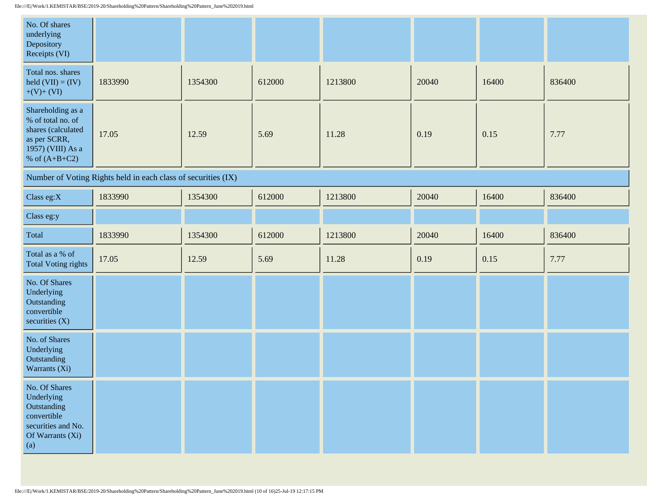| No. Of shares<br>underlying<br>Depository<br>Receipts (VI)                                                           |                                                               |         |        |         |       |       |        |
|----------------------------------------------------------------------------------------------------------------------|---------------------------------------------------------------|---------|--------|---------|-------|-------|--------|
| Total nos. shares<br>held $(VII) = (IV)$<br>$+(V)+(VI)$                                                              | 1833990                                                       | 1354300 | 612000 | 1213800 | 20040 | 16400 | 836400 |
| Shareholding as a<br>% of total no. of<br>shares (calculated<br>as per SCRR,<br>1957) (VIII) As a<br>% of $(A+B+C2)$ | 17.05                                                         | 12.59   | 5.69   | 11.28   | 0.19  | 0.15  | 7.77   |
|                                                                                                                      | Number of Voting Rights held in each class of securities (IX) |         |        |         |       |       |        |
| Class eg:X                                                                                                           | 1833990                                                       | 1354300 | 612000 | 1213800 | 20040 | 16400 | 836400 |
| Class eg:y                                                                                                           |                                                               |         |        |         |       |       |        |
| Total                                                                                                                | 1833990                                                       | 1354300 | 612000 | 1213800 | 20040 | 16400 | 836400 |
| Total as a % of<br><b>Total Voting rights</b>                                                                        | 17.05                                                         | 12.59   | 5.69   | 11.28   | 0.19  | 0.15  | 7.77   |
| No. Of Shares<br>Underlying<br>Outstanding<br>convertible<br>securities $(X)$                                        |                                                               |         |        |         |       |       |        |
| No. of Shares<br>Underlying<br>Outstanding<br>Warrants (Xi)                                                          |                                                               |         |        |         |       |       |        |
| T<br>No. Of Shares<br>Underlying<br>Outstanding<br>convertible<br>securities and No.<br>Of Warrants (Xi)<br>(a)      |                                                               |         |        |         |       |       |        |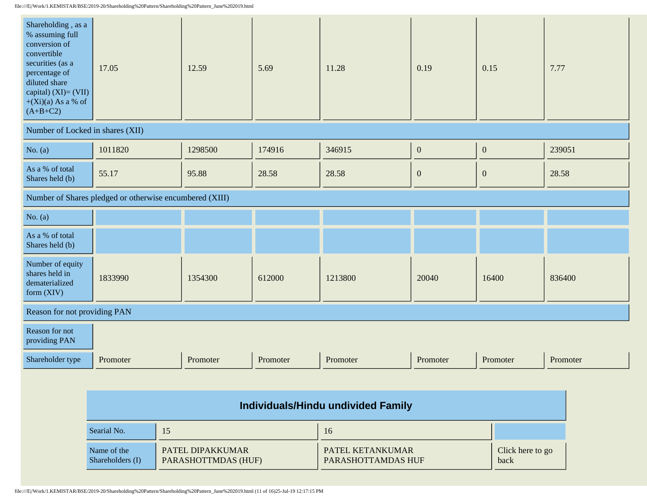| Shareholding, as a<br>% assuming full<br>conversion of<br>convertible<br>securities (as a<br>percentage of<br>diluted share<br>capital) $(XI) = (VII)$<br>$+(Xi)(a)$ As a % of<br>$(A+B+C2)$ | 17.05                                                   | 12.59    | 5.69     | 11.28    | 0.19             | 0.15             | 7.77     |
|----------------------------------------------------------------------------------------------------------------------------------------------------------------------------------------------|---------------------------------------------------------|----------|----------|----------|------------------|------------------|----------|
| Number of Locked in shares (XII)                                                                                                                                                             |                                                         |          |          |          |                  |                  |          |
| No. $(a)$                                                                                                                                                                                    | 1011820                                                 | 1298500  | 174916   | 346915   | $\boldsymbol{0}$ | $\boldsymbol{0}$ | 239051   |
| As a % of total<br>Shares held (b)                                                                                                                                                           | 55.17                                                   | 95.88    | 28.58    | 28.58    | $\boldsymbol{0}$ | $\boldsymbol{0}$ | 28.58    |
|                                                                                                                                                                                              | Number of Shares pledged or otherwise encumbered (XIII) |          |          |          |                  |                  |          |
| No. $(a)$                                                                                                                                                                                    |                                                         |          |          |          |                  |                  |          |
| As a % of total<br>Shares held (b)                                                                                                                                                           |                                                         |          |          |          |                  |                  |          |
| Number of equity<br>shares held in<br>dematerialized<br>form (XIV)                                                                                                                           | 1833990                                                 | 1354300  | 612000   | 1213800  | 20040            | 16400            | 836400   |
| Reason for not providing PAN                                                                                                                                                                 |                                                         |          |          |          |                  |                  |          |
| Reason for not<br>providing PAN                                                                                                                                                              |                                                         |          |          |          |                  |                  |          |
| Shareholder type                                                                                                                                                                             | Promoter                                                | Promoter | Promoter | Promoter | Promoter         | Promoter         | Promoter |

| Individuals/Hindu undivided Family |                                         |                                        |                          |  |
|------------------------------------|-----------------------------------------|----------------------------------------|--------------------------|--|
| Searial No.                        | 15                                      | 16                                     |                          |  |
| Name of the<br>Shareholders (I)    | PATEL DIPAKKUMAR<br>PARASHOTTMDAS (HUF) | PATEL KETANKUMAR<br>PARASHOTTAMDAS HUF | Click here to go<br>back |  |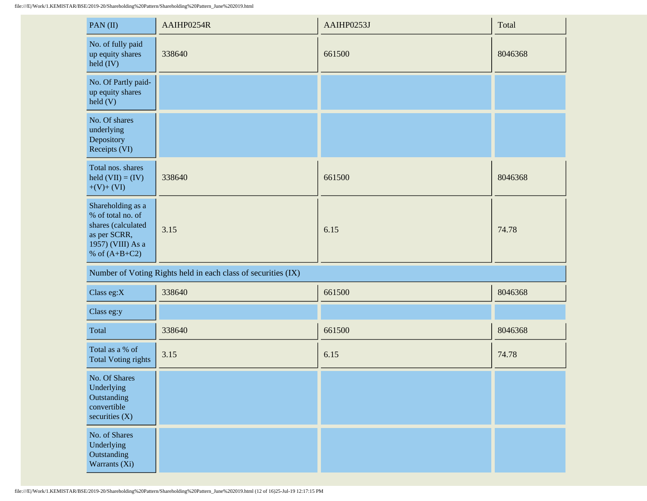| PAN(II)                                                                                                              | AAIHP0254R                                                    | AAIHP0253J | Total   |
|----------------------------------------------------------------------------------------------------------------------|---------------------------------------------------------------|------------|---------|
| No. of fully paid<br>up equity shares<br>$\text{held (IV)}$                                                          | 338640                                                        | 661500     | 8046368 |
| No. Of Partly paid-<br>up equity shares<br>$\text{held}$ (V)                                                         |                                                               |            |         |
| No. Of shares<br>underlying<br>Depository<br>Receipts (VI)                                                           |                                                               |            |         |
| Total nos. shares<br>held $(VII) = (IV)$<br>$+(V)+(VI)$                                                              | 338640                                                        | 661500     | 8046368 |
| Shareholding as a<br>% of total no. of<br>shares (calculated<br>as per SCRR,<br>1957) (VIII) As a<br>% of $(A+B+C2)$ | 3.15                                                          | 6.15       | 74.78   |
|                                                                                                                      | Number of Voting Rights held in each class of securities (IX) |            |         |
| Class eg:X                                                                                                           | 338640                                                        | 661500     | 8046368 |
| Class eg:y                                                                                                           |                                                               |            |         |
| Total                                                                                                                | 338640                                                        | 661500     | 8046368 |
| Total as a % of<br><b>Total Voting rights</b>                                                                        | 3.15                                                          | 6.15       | 74.78   |
| No. Of Shares<br>Underlying<br>Outstanding<br>convertible<br>securities $(X)$                                        |                                                               |            |         |
| No. of Shares<br>Underlying<br>Outstanding<br>Warrants (Xi)                                                          |                                                               |            |         |

file:///E|/Work/1.KEMISTAR/BSE/2019-20/Shareholding%20Pattern/Shareholding%20Pattern\_June%202019.html (12 of 16)25-Jul-19 12:17:15 PM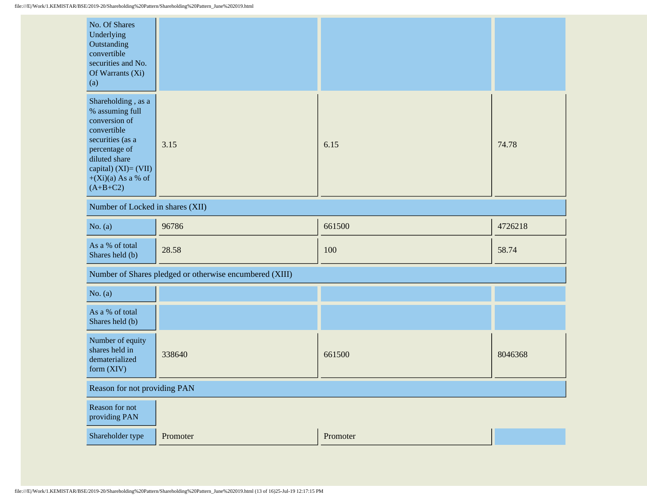| No. Of Shares<br>Underlying<br>Outstanding<br>convertible<br>securities and No.<br>Of Warrants (Xi)<br>(a)                                                                                |                                                         |          |         |  |  |
|-------------------------------------------------------------------------------------------------------------------------------------------------------------------------------------------|---------------------------------------------------------|----------|---------|--|--|
| Shareholding, as a<br>% assuming full<br>conversion of<br>convertible<br>securities (as a<br>percentage of<br>diluted share<br>capital) (XI)= (VII)<br>$+(Xi)(a)$ As a % of<br>$(A+B+C2)$ | 3.15                                                    | 6.15     | 74.78   |  |  |
| Number of Locked in shares (XII)                                                                                                                                                          |                                                         |          |         |  |  |
| No. $(a)$                                                                                                                                                                                 | 96786                                                   | 661500   | 4726218 |  |  |
| As a % of total<br>Shares held (b)                                                                                                                                                        | 28.58                                                   | 100      | 58.74   |  |  |
|                                                                                                                                                                                           | Number of Shares pledged or otherwise encumbered (XIII) |          |         |  |  |
| No. $(a)$                                                                                                                                                                                 |                                                         |          |         |  |  |
| As a % of total<br>Shares held (b)                                                                                                                                                        |                                                         |          |         |  |  |
| Number of equity<br>shares held in<br>dematerialized<br>form (XIV)                                                                                                                        | 338640                                                  | 661500   | 8046368 |  |  |
|                                                                                                                                                                                           | Reason for not providing PAN                            |          |         |  |  |
| Reason for not<br>providing PAN                                                                                                                                                           |                                                         |          |         |  |  |
| Shareholder type                                                                                                                                                                          | Promoter                                                | Promoter |         |  |  |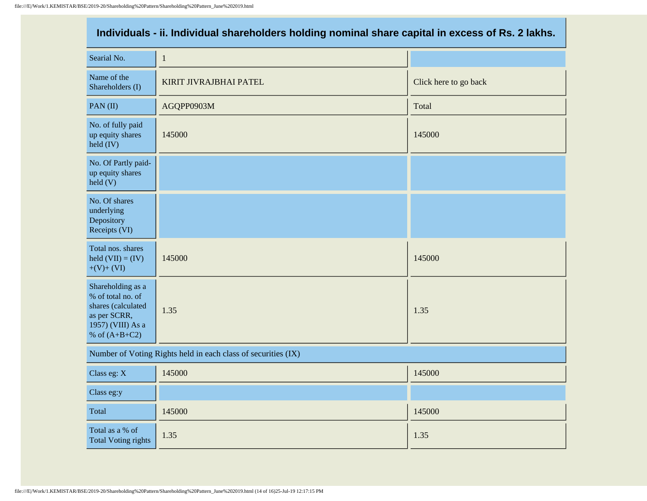| Individuals - ii. Individual shareholders holding nominal share capital in excess of Rs. 2 lakhs.                    |                                                               |                       |  |  |  |
|----------------------------------------------------------------------------------------------------------------------|---------------------------------------------------------------|-----------------------|--|--|--|
| Searial No.                                                                                                          | $\mathbf{1}$                                                  |                       |  |  |  |
| Name of the<br>Shareholders (I)                                                                                      | KIRIT JIVRAJBHAI PATEL                                        | Click here to go back |  |  |  |
| PAN(II)                                                                                                              | AGQPP0903M                                                    | Total                 |  |  |  |
| No. of fully paid<br>up equity shares<br>$\text{held (IV)}$                                                          | 145000                                                        | 145000                |  |  |  |
| No. Of Partly paid-<br>up equity shares<br>$\text{held}(V)$                                                          |                                                               |                       |  |  |  |
| No. Of shares<br>underlying<br>Depository<br>Receipts (VI)                                                           |                                                               |                       |  |  |  |
| Total nos. shares<br>held $(VII) = (IV)$<br>$+(V)+(VI)$                                                              | 145000                                                        | 145000                |  |  |  |
| Shareholding as a<br>% of total no. of<br>shares (calculated<br>as per SCRR,<br>1957) (VIII) As a<br>% of $(A+B+C2)$ | 1.35                                                          | 1.35                  |  |  |  |
|                                                                                                                      | Number of Voting Rights held in each class of securities (IX) |                       |  |  |  |
| Class eg: X                                                                                                          | 145000                                                        | 145000                |  |  |  |
| Class eg:y                                                                                                           |                                                               |                       |  |  |  |
| Total                                                                                                                | 145000                                                        | 145000                |  |  |  |
| Total as a % of<br><b>Total Voting rights</b>                                                                        | 1.35                                                          | 1.35                  |  |  |  |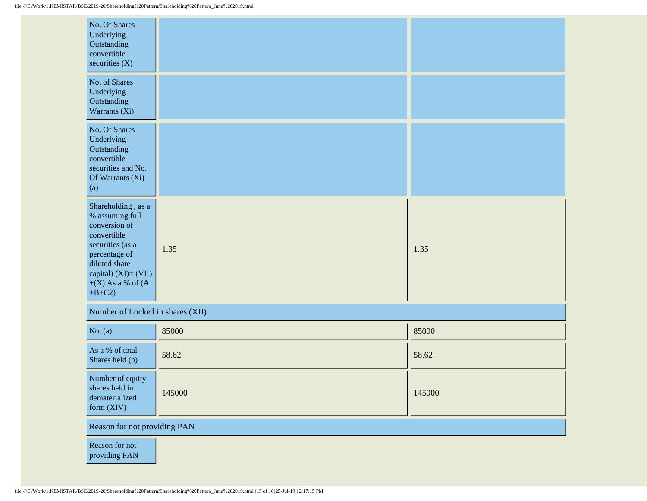| No. Of Shares<br>Underlying<br>Outstanding<br>convertible<br>securities $(X)$                                                                                                               |        |        |
|---------------------------------------------------------------------------------------------------------------------------------------------------------------------------------------------|--------|--------|
| No. of Shares<br>Underlying<br>Outstanding<br>Warrants (Xi)                                                                                                                                 |        |        |
| No. Of Shares<br>Underlying<br>Outstanding<br>convertible<br>securities and No.<br>Of Warrants (Xi)<br>(a)                                                                                  |        |        |
| Shareholding, as a<br>% assuming full<br>conversion of<br>convertible<br>securities (as a<br>percentage of<br>diluted share<br>capital) $(XI) = (VII)$<br>$+(X)$ As a % of $(A)$<br>$+B+C2$ | 1.35   | 1.35   |
| Number of Locked in shares (XII)                                                                                                                                                            |        |        |
| No. $(a)$                                                                                                                                                                                   | 85000  | 85000  |
| As a % of total<br>Shares held (b)                                                                                                                                                          | 58.62  | 58.62  |
| Number of equity<br>shares held in<br>dematerialized<br>form (XIV)                                                                                                                          | 145000 | 145000 |
| Reason for not providing PAN                                                                                                                                                                |        |        |
| Reason for not<br>providing PAN                                                                                                                                                             |        |        |